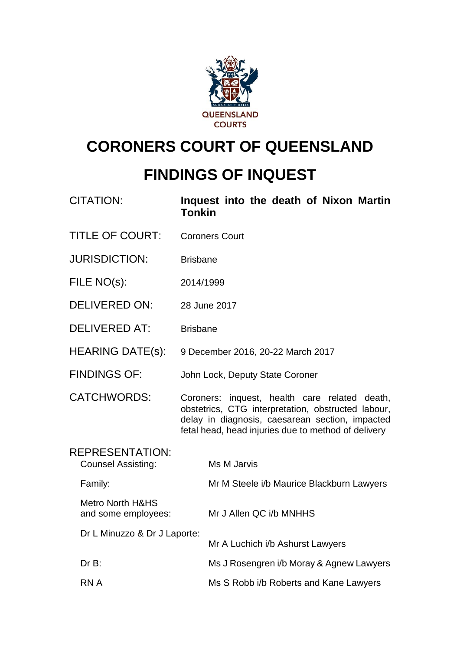

# **CORONERS COURT OF QUEENSLAND**

## **FINDINGS OF INQUEST**

| <b>CITATION:</b>                                    | Inquest into the death of Nixon Martin<br><b>Tonkin</b>                                                                                                                                                       |
|-----------------------------------------------------|---------------------------------------------------------------------------------------------------------------------------------------------------------------------------------------------------------------|
| <b>TITLE OF COURT:</b>                              | <b>Coroners Court</b>                                                                                                                                                                                         |
| <b>JURISDICTION:</b>                                | <b>Brisbane</b>                                                                                                                                                                                               |
| FILE NO(s):                                         | 2014/1999                                                                                                                                                                                                     |
| <b>DELIVERED ON:</b>                                | 28 June 2017                                                                                                                                                                                                  |
| <b>DELIVERED AT:</b>                                | <b>Brisbane</b>                                                                                                                                                                                               |
| <b>HEARING DATE(s):</b>                             | 9 December 2016, 20-22 March 2017                                                                                                                                                                             |
| <b>FINDINGS OF:</b>                                 | John Lock, Deputy State Coroner                                                                                                                                                                               |
| <b>CATCHWORDS:</b>                                  | Coroners: inquest, health care related death,<br>obstetrics, CTG interpretation, obstructed labour,<br>delay in diagnosis, caesarean section, impacted<br>fetal head, head injuries due to method of delivery |
| <b>REPRESENTATION:</b><br><b>Counsel Assisting:</b> | Ms M Jarvis                                                                                                                                                                                                   |
| Family:                                             | Mr M Steele i/b Maurice Blackburn Lawyers                                                                                                                                                                     |
| <b>Metro North H&amp;HS</b><br>and some employees:  | Mr J Allen QC i/b MNHHS                                                                                                                                                                                       |
| Dr L Minuzzo & Dr J Laporte:                        | Mr A Luchich i/b Ashurst Lawyers                                                                                                                                                                              |
| DrB:                                                | Ms J Rosengren i/b Moray & Agnew Lawyers                                                                                                                                                                      |
| <b>RNA</b>                                          | Ms S Robb i/b Roberts and Kane Lawyers                                                                                                                                                                        |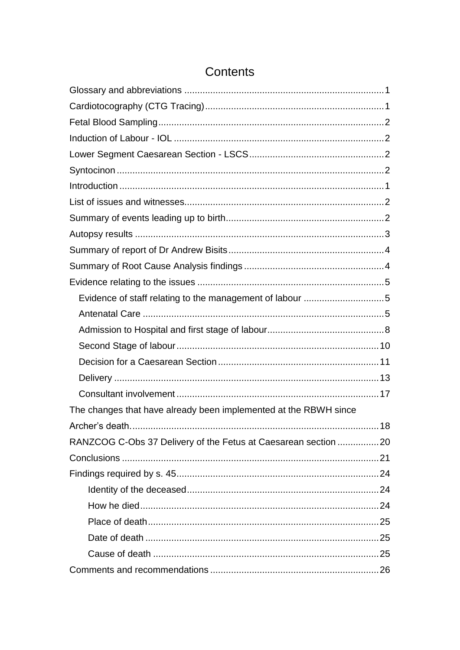| The changes that have already been implemented at the RBWH since |  |
|------------------------------------------------------------------|--|
|                                                                  |  |
| RANZCOG C-Obs 37 Delivery of the Fetus at Caesarean section 20   |  |
|                                                                  |  |
|                                                                  |  |
|                                                                  |  |
|                                                                  |  |
|                                                                  |  |
|                                                                  |  |
|                                                                  |  |
|                                                                  |  |

## Contents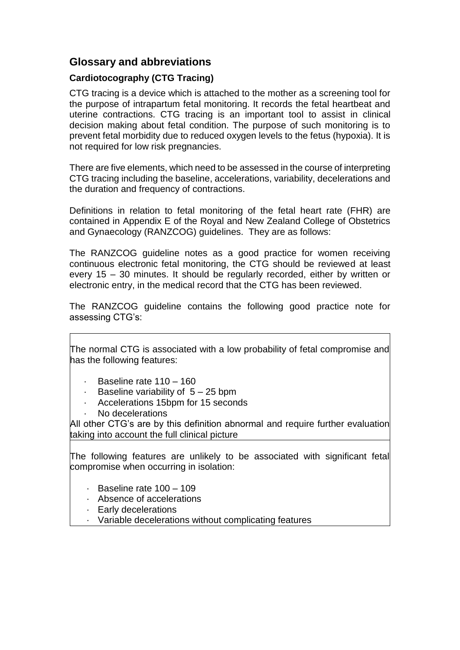## <span id="page-2-0"></span>**Glossary and abbreviations**

### <span id="page-2-1"></span>**Cardiotocography (CTG Tracing)**

CTG tracing is a device which is attached to the mother as a screening tool for the purpose of intrapartum fetal monitoring. It records the fetal heartbeat and uterine contractions. CTG tracing is an important tool to assist in clinical decision making about fetal condition. The purpose of such monitoring is to prevent fetal morbidity due to reduced oxygen levels to the fetus (hypoxia). It is not required for low risk pregnancies.

There are five elements, which need to be assessed in the course of interpreting CTG tracing including the baseline, accelerations, variability, decelerations and the duration and frequency of contractions.

Definitions in relation to fetal monitoring of the fetal heart rate (FHR) are contained in Appendix E of the Royal and New Zealand College of Obstetrics and Gynaecology (RANZCOG) guidelines. They are as follows:

The RANZCOG guideline notes as a good practice for women receiving continuous electronic fetal monitoring, the CTG should be reviewed at least every 15 – 30 minutes. It should be regularly recorded, either by written or electronic entry, in the medical record that the CTG has been reviewed.

The RANZCOG guideline contains the following good practice note for assessing CTG's:

The normal CTG is associated with a low probability of fetal compromise and has the following features:

- Baseline rate  $110 160$
- Baseline variability of  $5 25$  bpm
- · Accelerations 15bpm for 15 seconds
- No decelerations

All other CTG's are by this definition abnormal and require further evaluation taking into account the full clinical picture

The following features are unlikely to be associated with significant fetal compromise when occurring in isolation:

- · Baseline rate 100 109
- · Absence of accelerations
- · Early decelerations
- · Variable decelerations without complicating features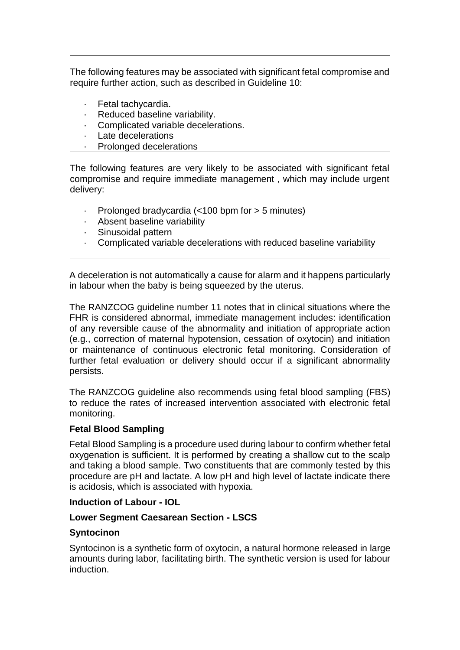The following features may be associated with significant fetal compromise and require further action, such as described in Guideline 10:

- · Fetal tachycardia.
- · Reduced baseline variability.
- Complicated variable decelerations.
- Late decelerations
- Prolonged decelerations

The following features are very likely to be associated with significant fetal compromise and require immediate management , which may include urgent delivery:

- Prolonged bradycardia (<100 bpm for > 5 minutes)
- Absent baseline variability
- · Sinusoidal pattern
- · Complicated variable decelerations with reduced baseline variability

A deceleration is not automatically a cause for alarm and it happens particularly in labour when the baby is being squeezed by the uterus.

The RANZCOG guideline number 11 notes that in clinical situations where the FHR is considered abnormal, immediate management includes: identification of any reversible cause of the abnormality and initiation of appropriate action (e.g., correction of maternal hypotension, cessation of oxytocin) and initiation or maintenance of continuous electronic fetal monitoring. Consideration of further fetal evaluation or delivery should occur if a significant abnormality persists.

The RANZCOG guideline also recommends using fetal blood sampling (FBS) to reduce the rates of increased intervention associated with electronic fetal monitoring.

#### <span id="page-3-0"></span>**Fetal Blood Sampling**

Fetal Blood Sampling is a procedure used during labour to confirm whether fetal oxygenation is sufficient. It is performed by creating a shallow cut to the scalp and taking a blood sample. Two constituents that are commonly tested by this procedure are pH and lactate. A low pH and high level of lactate indicate there is acidosis, which is associated with hypoxia.

#### <span id="page-3-1"></span>**Induction of Labour - IOL**

#### <span id="page-3-2"></span>**Lower Segment Caesarean Section - LSCS**

#### <span id="page-3-3"></span>**Syntocinon**

Syntocinon is a synthetic form of oxytocin, a natural hormone released in large amounts during labor, facilitating birth. The synthetic version is used for labour induction.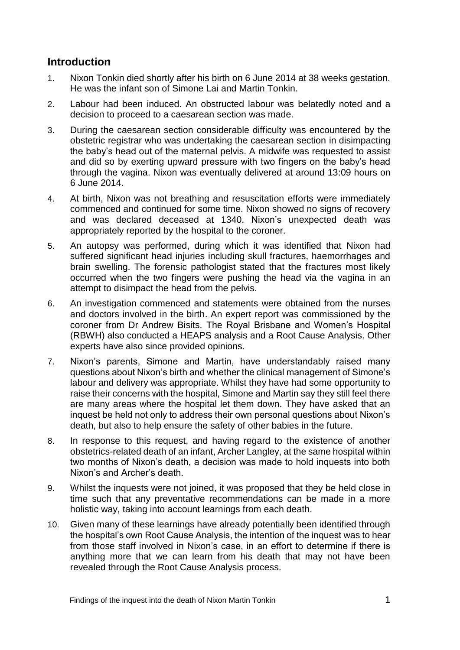## <span id="page-4-0"></span>**Introduction**

- 1. Nixon Tonkin died shortly after his birth on 6 June 2014 at 38 weeks gestation. He was the infant son of Simone Lai and Martin Tonkin.
- 2. Labour had been induced. An obstructed labour was belatedly noted and a decision to proceed to a caesarean section was made.
- 3. During the caesarean section considerable difficulty was encountered by the obstetric registrar who was undertaking the caesarean section in disimpacting the baby's head out of the maternal pelvis. A midwife was requested to assist and did so by exerting upward pressure with two fingers on the baby's head through the vagina. Nixon was eventually delivered at around 13:09 hours on 6 June 2014.
- 4. At birth, Nixon was not breathing and resuscitation efforts were immediately commenced and continued for some time. Nixon showed no signs of recovery and was declared deceased at 1340. Nixon's unexpected death was appropriately reported by the hospital to the coroner.
- 5. An autopsy was performed, during which it was identified that Nixon had suffered significant head injuries including skull fractures, haemorrhages and brain swelling. The forensic pathologist stated that the fractures most likely occurred when the two fingers were pushing the head via the vagina in an attempt to disimpact the head from the pelvis.
- 6. An investigation commenced and statements were obtained from the nurses and doctors involved in the birth. An expert report was commissioned by the coroner from Dr Andrew Bisits. The Royal Brisbane and Women's Hospital (RBWH) also conducted a HEAPS analysis and a Root Cause Analysis. Other experts have also since provided opinions.
- 7. Nixon's parents, Simone and Martin, have understandably raised many questions about Nixon's birth and whether the clinical management of Simone's labour and delivery was appropriate. Whilst they have had some opportunity to raise their concerns with the hospital, Simone and Martin say they still feel there are many areas where the hospital let them down. They have asked that an inquest be held not only to address their own personal questions about Nixon's death, but also to help ensure the safety of other babies in the future.
- 8. In response to this request, and having regard to the existence of another obstetrics-related death of an infant, Archer Langley, at the same hospital within two months of Nixon's death, a decision was made to hold inquests into both Nixon's and Archer's death.
- 9. Whilst the inquests were not joined, it was proposed that they be held close in time such that any preventative recommendations can be made in a more holistic way, taking into account learnings from each death.
- 10. Given many of these learnings have already potentially been identified through the hospital's own Root Cause Analysis, the intention of the inquest was to hear from those staff involved in Nixon's case, in an effort to determine if there is anything more that we can learn from his death that may not have been revealed through the Root Cause Analysis process.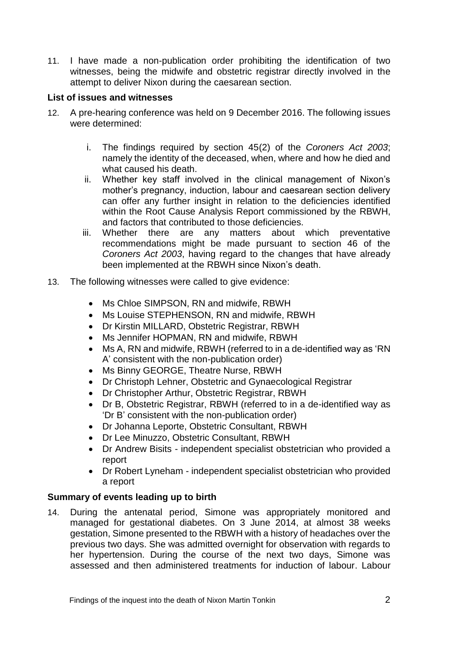11. I have made a non-publication order prohibiting the identification of two witnesses, being the midwife and obstetric registrar directly involved in the attempt to deliver Nixon during the caesarean section.

#### <span id="page-5-0"></span>**List of issues and witnesses**

- 12. A pre-hearing conference was held on 9 December 2016. The following issues were determined:
	- i. The findings required by section 45(2) of the *Coroners Act 2003*; namely the identity of the deceased, when, where and how he died and what caused his death.
	- ii. Whether key staff involved in the clinical management of Nixon's mother's pregnancy, induction, labour and caesarean section delivery can offer any further insight in relation to the deficiencies identified within the Root Cause Analysis Report commissioned by the RBWH, and factors that contributed to those deficiencies.
	- iii. Whether there are any matters about which preventative recommendations might be made pursuant to section 46 of the *Coroners Act 2003*, having regard to the changes that have already been implemented at the RBWH since Nixon's death.
- 13. The following witnesses were called to give evidence:
	- Ms Chloe SIMPSON, RN and midwife, RBWH
	- Ms Louise STEPHENSON, RN and midwife, RBWH
	- Dr Kirstin MILLARD, Obstetric Registrar, RBWH
	- Ms Jennifer HOPMAN, RN and midwife, RBWH
	- Ms A, RN and midwife, RBWH (referred to in a de-identified way as 'RN A' consistent with the non-publication order)
	- Ms Binny GEORGE, Theatre Nurse, RBWH
	- Dr Christoph Lehner, Obstetric and Gynaecological Registrar
	- Dr Christopher Arthur, Obstetric Registrar, RBWH
	- Dr B, Obstetric Registrar, RBWH (referred to in a de-identified way as 'Dr B' consistent with the non-publication order)
	- Dr Johanna Leporte, Obstetric Consultant, RBWH
	- Dr Lee Minuzzo, Obstetric Consultant, RBWH
	- Dr Andrew Bisits independent specialist obstetrician who provided a report
	- Dr Robert Lyneham independent specialist obstetrician who provided a report

#### <span id="page-5-1"></span>**Summary of events leading up to birth**

14. During the antenatal period, Simone was appropriately monitored and managed for gestational diabetes. On 3 June 2014, at almost 38 weeks gestation, Simone presented to the RBWH with a history of headaches over the previous two days. She was admitted overnight for observation with regards to her hypertension. During the course of the next two days, Simone was assessed and then administered treatments for induction of labour. Labour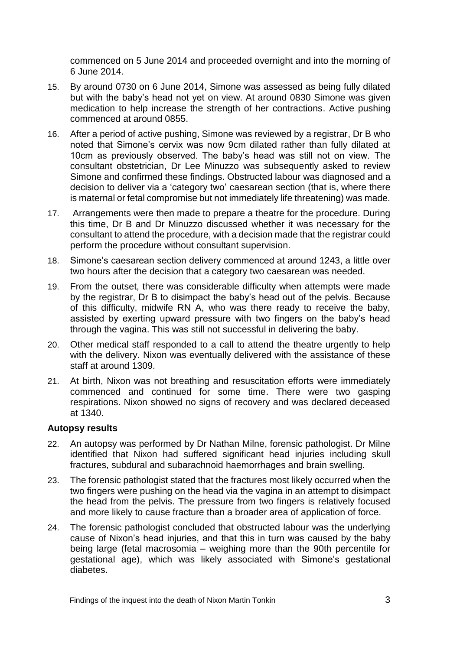commenced on 5 June 2014 and proceeded overnight and into the morning of 6 June 2014.

- 15. By around 0730 on 6 June 2014, Simone was assessed as being fully dilated but with the baby's head not yet on view. At around 0830 Simone was given medication to help increase the strength of her contractions. Active pushing commenced at around 0855.
- 16. After a period of active pushing, Simone was reviewed by a registrar, Dr B who noted that Simone's cervix was now 9cm dilated rather than fully dilated at 10cm as previously observed. The baby's head was still not on view. The consultant obstetrician, Dr Lee Minuzzo was subsequently asked to review Simone and confirmed these findings. Obstructed labour was diagnosed and a decision to deliver via a 'category two' caesarean section (that is, where there is maternal or fetal compromise but not immediately life threatening) was made.
- 17. Arrangements were then made to prepare a theatre for the procedure. During this time, Dr B and Dr Minuzzo discussed whether it was necessary for the consultant to attend the procedure, with a decision made that the registrar could perform the procedure without consultant supervision.
- 18. Simone's caesarean section delivery commenced at around 1243, a little over two hours after the decision that a category two caesarean was needed.
- 19. From the outset, there was considerable difficulty when attempts were made by the registrar, Dr B to disimpact the baby's head out of the pelvis. Because of this difficulty, midwife RN A, who was there ready to receive the baby, assisted by exerting upward pressure with two fingers on the baby's head through the vagina. This was still not successful in delivering the baby.
- 20. Other medical staff responded to a call to attend the theatre urgently to help with the delivery. Nixon was eventually delivered with the assistance of these staff at around 1309.
- 21. At birth, Nixon was not breathing and resuscitation efforts were immediately commenced and continued for some time. There were two gasping respirations. Nixon showed no signs of recovery and was declared deceased at 1340.

#### <span id="page-6-0"></span>**Autopsy results**

- 22. An autopsy was performed by Dr Nathan Milne, forensic pathologist. Dr Milne identified that Nixon had suffered significant head injuries including skull fractures, subdural and subarachnoid haemorrhages and brain swelling.
- 23. The forensic pathologist stated that the fractures most likely occurred when the two fingers were pushing on the head via the vagina in an attempt to disimpact the head from the pelvis. The pressure from two fingers is relatively focused and more likely to cause fracture than a broader area of application of force.
- 24. The forensic pathologist concluded that obstructed labour was the underlying cause of Nixon's head injuries, and that this in turn was caused by the baby being large (fetal macrosomia – weighing more than the 90th percentile for gestational age), which was likely associated with Simone's gestational diabetes.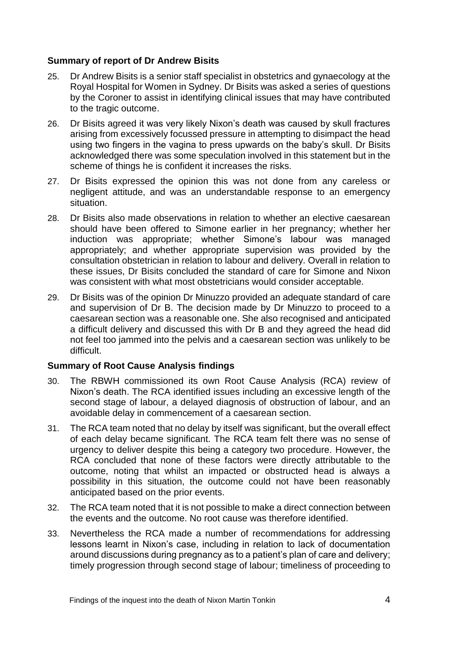#### <span id="page-7-0"></span>**Summary of report of Dr Andrew Bisits**

- 25. Dr Andrew Bisits is a senior staff specialist in obstetrics and gynaecology at the Royal Hospital for Women in Sydney. Dr Bisits was asked a series of questions by the Coroner to assist in identifying clinical issues that may have contributed to the tragic outcome.
- 26. Dr Bisits agreed it was very likely Nixon's death was caused by skull fractures arising from excessively focussed pressure in attempting to disimpact the head using two fingers in the vagina to press upwards on the baby's skull. Dr Bisits acknowledged there was some speculation involved in this statement but in the scheme of things he is confident it increases the risks.
- 27. Dr Bisits expressed the opinion this was not done from any careless or negligent attitude, and was an understandable response to an emergency situation.
- 28. Dr Bisits also made observations in relation to whether an elective caesarean should have been offered to Simone earlier in her pregnancy; whether her induction was appropriate; whether Simone's labour was managed appropriately; and whether appropriate supervision was provided by the consultation obstetrician in relation to labour and delivery. Overall in relation to these issues, Dr Bisits concluded the standard of care for Simone and Nixon was consistent with what most obstetricians would consider acceptable.
- 29. Dr Bisits was of the opinion Dr Minuzzo provided an adequate standard of care and supervision of Dr B. The decision made by Dr Minuzzo to proceed to a caesarean section was a reasonable one. She also recognised and anticipated a difficult delivery and discussed this with Dr B and they agreed the head did not feel too jammed into the pelvis and a caesarean section was unlikely to be difficult.

#### <span id="page-7-1"></span>**Summary of Root Cause Analysis findings**

- 30. The RBWH commissioned its own Root Cause Analysis (RCA) review of Nixon's death. The RCA identified issues including an excessive length of the second stage of labour, a delayed diagnosis of obstruction of labour, and an avoidable delay in commencement of a caesarean section.
- 31. The RCA team noted that no delay by itself was significant, but the overall effect of each delay became significant. The RCA team felt there was no sense of urgency to deliver despite this being a category two procedure. However, the RCA concluded that none of these factors were directly attributable to the outcome, noting that whilst an impacted or obstructed head is always a possibility in this situation, the outcome could not have been reasonably anticipated based on the prior events.
- 32. The RCA team noted that it is not possible to make a direct connection between the events and the outcome. No root cause was therefore identified.
- 33. Nevertheless the RCA made a number of recommendations for addressing lessons learnt in Nixon's case, including in relation to lack of documentation around discussions during pregnancy as to a patient's plan of care and delivery; timely progression through second stage of labour; timeliness of proceeding to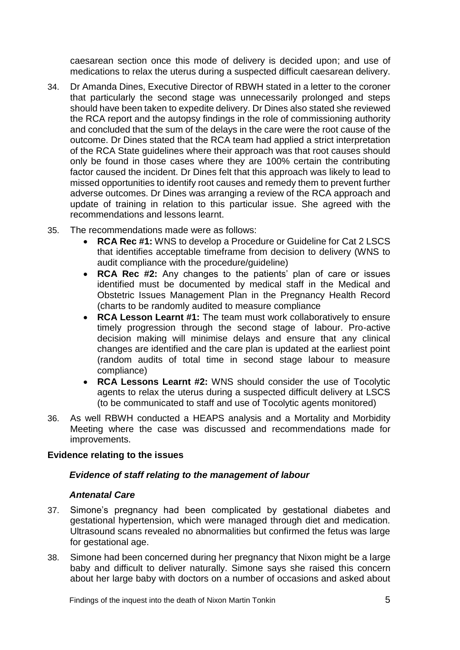caesarean section once this mode of delivery is decided upon; and use of medications to relax the uterus during a suspected difficult caesarean delivery.

- 34. Dr Amanda Dines, Executive Director of RBWH stated in a letter to the coroner that particularly the second stage was unnecessarily prolonged and steps should have been taken to expedite delivery. Dr Dines also stated she reviewed the RCA report and the autopsy findings in the role of commissioning authority and concluded that the sum of the delays in the care were the root cause of the outcome. Dr Dines stated that the RCA team had applied a strict interpretation of the RCA State guidelines where their approach was that root causes should only be found in those cases where they are 100% certain the contributing factor caused the incident. Dr Dines felt that this approach was likely to lead to missed opportunities to identify root causes and remedy them to prevent further adverse outcomes. Dr Dines was arranging a review of the RCA approach and update of training in relation to this particular issue. She agreed with the recommendations and lessons learnt.
- 35. The recommendations made were as follows:
	- **RCA Rec #1:** WNS to develop a Procedure or Guideline for Cat 2 LSCS that identifies acceptable timeframe from decision to delivery (WNS to audit compliance with the procedure/guideline)
	- **RCA Rec #2:** Any changes to the patients' plan of care or issues identified must be documented by medical staff in the Medical and Obstetric Issues Management Plan in the Pregnancy Health Record (charts to be randomly audited to measure compliance
	- **RCA Lesson Learnt #1:** The team must work collaboratively to ensure timely progression through the second stage of labour. Pro-active decision making will minimise delays and ensure that any clinical changes are identified and the care plan is updated at the earliest point (random audits of total time in second stage labour to measure compliance)
	- **RCA Lessons Learnt #2:** WNS should consider the use of Tocolytic agents to relax the uterus during a suspected difficult delivery at LSCS (to be communicated to staff and use of Tocolytic agents monitored)
- 36. As well RBWH conducted a HEAPS analysis and a Mortality and Morbidity Meeting where the case was discussed and recommendations made for improvements.

#### <span id="page-8-0"></span>**Evidence relating to the issues**

#### <span id="page-8-1"></span>*Evidence of staff relating to the management of labour*

#### <span id="page-8-2"></span>*Antenatal Care*

- 37. Simone's pregnancy had been complicated by gestational diabetes and gestational hypertension, which were managed through diet and medication. Ultrasound scans revealed no abnormalities but confirmed the fetus was large for gestational age.
- 38. Simone had been concerned during her pregnancy that Nixon might be a large baby and difficult to deliver naturally. Simone says she raised this concern about her large baby with doctors on a number of occasions and asked about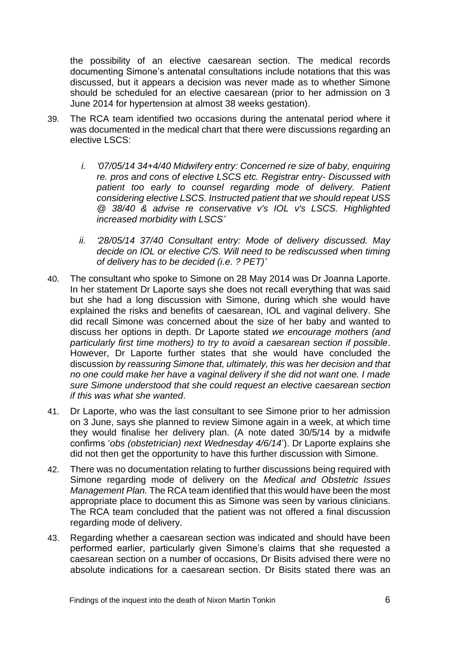the possibility of an elective caesarean section. The medical records documenting Simone's antenatal consultations include notations that this was discussed, but it appears a decision was never made as to whether Simone should be scheduled for an elective caesarean (prior to her admission on 3 June 2014 for hypertension at almost 38 weeks gestation).

- 39. The RCA team identified two occasions during the antenatal period where it was documented in the medical chart that there were discussions regarding an elective LSCS:
	- *i. '07/05/14 34+4/40 Midwifery entry: Concerned re size of baby, enquiring re. pros and cons of elective LSCS etc. Registrar entry- Discussed with*  patient too early to counsel regarding mode of delivery. Patient *considering elective LSCS. Instructed patient that we should repeat USS @ 38/40 & advise re conservative v's IOL v's LSCS. Highlighted increased morbidity with LSCS'*
	- *ii. '28/05/14 37/40 Consultant entry: Mode of delivery discussed. May decide on IOL or elective C/S. Will need to be rediscussed when timing of delivery has to be decided (i.e. ? PET)'*
- 40. The consultant who spoke to Simone on 28 May 2014 was Dr Joanna Laporte. In her statement Dr Laporte says she does not recall everything that was said but she had a long discussion with Simone, during which she would have explained the risks and benefits of caesarean, IOL and vaginal delivery. She did recall Simone was concerned about the size of her baby and wanted to discuss her options in depth. Dr Laporte stated *we encourage mothers (and particularly first time mothers) to try to avoid a caesarean section if possible*. However, Dr Laporte further states that she would have concluded the discussion *by reassuring Simone that, ultimately, this was her decision and that no one could make her have a vaginal delivery if she did not want one. I made sure Simone understood that she could request an elective caesarean section if this was what she wanted*.
- 41. Dr Laporte, who was the last consultant to see Simone prior to her admission on 3 June, says she planned to review Simone again in a week, at which time they would finalise her delivery plan. (A note dated 30/5/14 by a midwife confirms '*obs (obstetrician) next Wednesday 4/6/14*'). Dr Laporte explains she did not then get the opportunity to have this further discussion with Simone.
- 42. There was no documentation relating to further discussions being required with Simone regarding mode of delivery on the *Medical and Obstetric Issues Management Plan.* The RCA team identified that this would have been the most appropriate place to document this as Simone was seen by various clinicians. The RCA team concluded that the patient was not offered a final discussion regarding mode of delivery.
- 43. Regarding whether a caesarean section was indicated and should have been performed earlier, particularly given Simone's claims that she requested a caesarean section on a number of occasions, Dr Bisits advised there were no absolute indications for a caesarean section. Dr Bisits stated there was an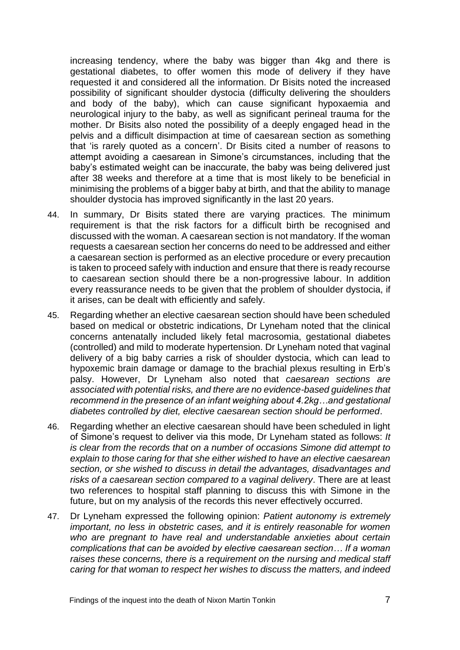increasing tendency, where the baby was bigger than 4kg and there is gestational diabetes, to offer women this mode of delivery if they have requested it and considered all the information. Dr Bisits noted the increased possibility of significant shoulder dystocia (difficulty delivering the shoulders and body of the baby), which can cause significant hypoxaemia and neurological injury to the baby, as well as significant perineal trauma for the mother. Dr Bisits also noted the possibility of a deeply engaged head in the pelvis and a difficult disimpaction at time of caesarean section as something that 'is rarely quoted as a concern'. Dr Bisits cited a number of reasons to attempt avoiding a caesarean in Simone's circumstances, including that the baby's estimated weight can be inaccurate, the baby was being delivered just after 38 weeks and therefore at a time that is most likely to be beneficial in minimising the problems of a bigger baby at birth, and that the ability to manage shoulder dystocia has improved significantly in the last 20 years.

- 44. In summary, Dr Bisits stated there are varying practices. The minimum requirement is that the risk factors for a difficult birth be recognised and discussed with the woman. A caesarean section is not mandatory. If the woman requests a caesarean section her concerns do need to be addressed and either a caesarean section is performed as an elective procedure or every precaution is taken to proceed safely with induction and ensure that there is ready recourse to caesarean section should there be a non-progressive labour. In addition every reassurance needs to be given that the problem of shoulder dystocia, if it arises, can be dealt with efficiently and safely.
- 45. Regarding whether an elective caesarean section should have been scheduled based on medical or obstetric indications, Dr Lyneham noted that the clinical concerns antenatally included likely fetal macrosomia, gestational diabetes (controlled) and mild to moderate hypertension. Dr Lyneham noted that vaginal delivery of a big baby carries a risk of shoulder dystocia, which can lead to hypoxemic brain damage or damage to the brachial plexus resulting in Erb's palsy. However, Dr Lyneham also noted that *caesarean sections are associated with potential risks, and there are no evidence-based guidelines that recommend in the presence of an infant weighing about 4.2kg…and gestational diabetes controlled by diet, elective caesarean section should be performed*.
- 46. Regarding whether an elective caesarean should have been scheduled in light of Simone's request to deliver via this mode, Dr Lyneham stated as follows: *It is clear from the records that on a number of occasions Simone did attempt to explain to those caring for that she either wished to have an elective caesarean section, or she wished to discuss in detail the advantages, disadvantages and risks of a caesarean section compared to a vaginal delivery*. There are at least two references to hospital staff planning to discuss this with Simone in the future, but on my analysis of the records this never effectively occurred.
- 47. Dr Lyneham expressed the following opinion: *Patient autonomy is extremely important, no less in obstetric cases, and it is entirely reasonable for women who are pregnant to have real and understandable anxieties about certain complications that can be avoided by elective caesarean section… If a woman raises these concerns, there is a requirement on the nursing and medical staff caring for that woman to respect her wishes to discuss the matters, and indeed*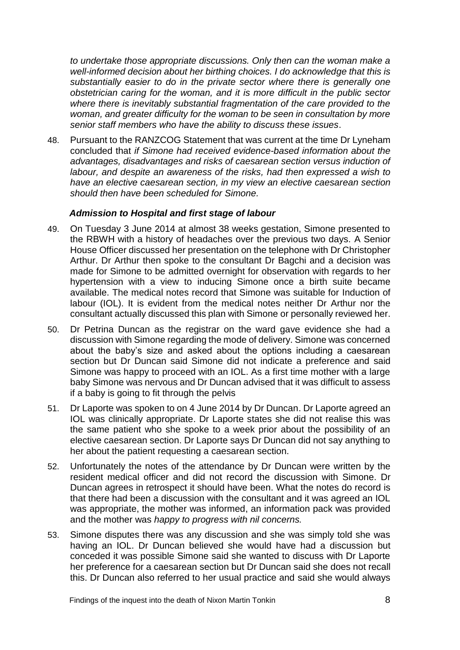*to undertake those appropriate discussions. Only then can the woman make a well-informed decision about her birthing choices. I do acknowledge that this is substantially easier to do in the private sector where there is generally one obstetrician caring for the woman, and it is more difficult in the public sector where there is inevitably substantial fragmentation of the care provided to the woman, and greater difficulty for the woman to be seen in consultation by more senior staff members who have the ability to discuss these issues*.

48. Pursuant to the RANZCOG Statement that was current at the time Dr Lyneham concluded that *if Simone had received evidence-based information about the advantages, disadvantages and risks of caesarean section versus induction of labour, and despite an awareness of the risks, had then expressed a wish to have an elective caesarean section, in my view an elective caesarean section should then have been scheduled for Simone.*

#### <span id="page-11-0"></span>*Admission to Hospital and first stage of labour*

- 49. On Tuesday 3 June 2014 at almost 38 weeks gestation, Simone presented to the RBWH with a history of headaches over the previous two days. A Senior House Officer discussed her presentation on the telephone with Dr Christopher Arthur. Dr Arthur then spoke to the consultant Dr Bagchi and a decision was made for Simone to be admitted overnight for observation with regards to her hypertension with a view to inducing Simone once a birth suite became available. The medical notes record that Simone was suitable for Induction of labour (IOL). It is evident from the medical notes neither Dr Arthur nor the consultant actually discussed this plan with Simone or personally reviewed her.
- 50. Dr Petrina Duncan as the registrar on the ward gave evidence she had a discussion with Simone regarding the mode of delivery. Simone was concerned about the baby's size and asked about the options including a caesarean section but Dr Duncan said Simone did not indicate a preference and said Simone was happy to proceed with an IOL. As a first time mother with a large baby Simone was nervous and Dr Duncan advised that it was difficult to assess if a baby is going to fit through the pelvis
- 51. Dr Laporte was spoken to on 4 June 2014 by Dr Duncan. Dr Laporte agreed an IOL was clinically appropriate. Dr Laporte states she did not realise this was the same patient who she spoke to a week prior about the possibility of an elective caesarean section. Dr Laporte says Dr Duncan did not say anything to her about the patient requesting a caesarean section.
- 52. Unfortunately the notes of the attendance by Dr Duncan were written by the resident medical officer and did not record the discussion with Simone. Dr Duncan agrees in retrospect it should have been. What the notes do record is that there had been a discussion with the consultant and it was agreed an IOL was appropriate, the mother was informed, an information pack was provided and the mother was *happy to progress with nil concerns.*
- 53. Simone disputes there was any discussion and she was simply told she was having an IOL. Dr Duncan believed she would have had a discussion but conceded it was possible Simone said she wanted to discuss with Dr Laporte her preference for a caesarean section but Dr Duncan said she does not recall this. Dr Duncan also referred to her usual practice and said she would always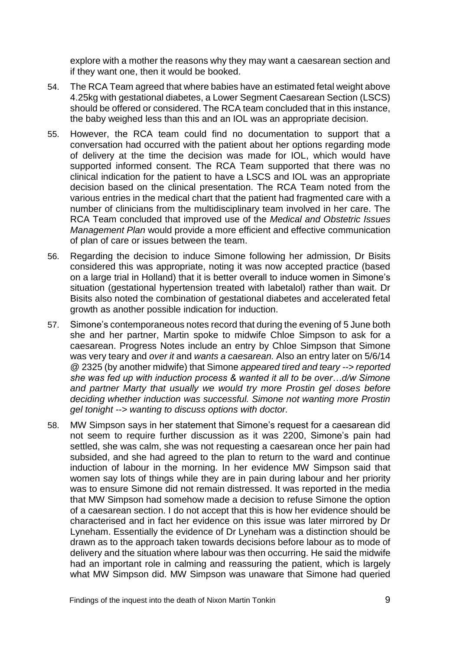explore with a mother the reasons why they may want a caesarean section and if they want one, then it would be booked.

- 54. The RCA Team agreed that where babies have an estimated fetal weight above 4.25kg with gestational diabetes, a Lower Segment Caesarean Section (LSCS) should be offered or considered. The RCA team concluded that in this instance, the baby weighed less than this and an IOL was an appropriate decision.
- 55. However, the RCA team could find no documentation to support that a conversation had occurred with the patient about her options regarding mode of delivery at the time the decision was made for IOL, which would have supported informed consent. The RCA Team supported that there was no clinical indication for the patient to have a LSCS and IOL was an appropriate decision based on the clinical presentation. The RCA Team noted from the various entries in the medical chart that the patient had fragmented care with a number of clinicians from the multidisciplinary team involved in her care. The RCA Team concluded that improved use of the *Medical and Obstetric Issues Management Plan* would provide a more efficient and effective communication of plan of care or issues between the team.
- 56. Regarding the decision to induce Simone following her admission, Dr Bisits considered this was appropriate, noting it was now accepted practice (based on a large trial in Holland) that it is better overall to induce women in Simone's situation (gestational hypertension treated with labetalol) rather than wait. Dr Bisits also noted the combination of gestational diabetes and accelerated fetal growth as another possible indication for induction.
- 57. Simone's contemporaneous notes record that during the evening of 5 June both she and her partner, Martin spoke to midwife Chloe Simpson to ask for a caesarean. Progress Notes include an entry by Chloe Simpson that Simone was very teary and *over it* and *wants a caesarean.* Also an entry later on 5/6/14 @ 2325 (by another midwife) that Simone *appeared tired and teary --> reported she was fed up with induction process & wanted it all to be over…d/w Simone and partner Marty that usually we would try more Prostin gel doses before deciding whether induction was successful. Simone not wanting more Prostin gel tonight --> wanting to discuss options with doctor.*
- 58. MW Simpson says in her statement that Simone's request for a caesarean did not seem to require further discussion as it was 2200, Simone's pain had settled, she was calm, she was not requesting a caesarean once her pain had subsided, and she had agreed to the plan to return to the ward and continue induction of labour in the morning. In her evidence MW Simpson said that women say lots of things while they are in pain during labour and her priority was to ensure Simone did not remain distressed. It was reported in the media that MW Simpson had somehow made a decision to refuse Simone the option of a caesarean section. I do not accept that this is how her evidence should be characterised and in fact her evidence on this issue was later mirrored by Dr Lyneham. Essentially the evidence of Dr Lyneham was a distinction should be drawn as to the approach taken towards decisions before labour as to mode of delivery and the situation where labour was then occurring. He said the midwife had an important role in calming and reassuring the patient, which is largely what MW Simpson did. MW Simpson was unaware that Simone had queried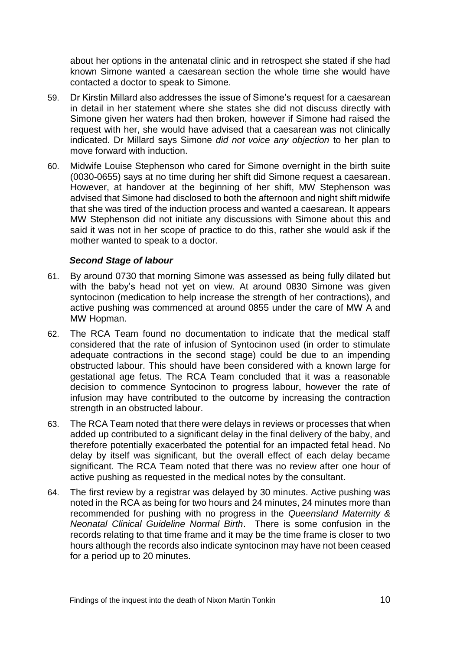about her options in the antenatal clinic and in retrospect she stated if she had known Simone wanted a caesarean section the whole time she would have contacted a doctor to speak to Simone.

- 59. Dr Kirstin Millard also addresses the issue of Simone's request for a caesarean in detail in her statement where she states she did not discuss directly with Simone given her waters had then broken, however if Simone had raised the request with her, she would have advised that a caesarean was not clinically indicated. Dr Millard says Simone *did not voice any objection* to her plan to move forward with induction.
- 60. Midwife Louise Stephenson who cared for Simone overnight in the birth suite (0030-0655) says at no time during her shift did Simone request a caesarean. However, at handover at the beginning of her shift, MW Stephenson was advised that Simone had disclosed to both the afternoon and night shift midwife that she was tired of the induction process and wanted a caesarean. It appears MW Stephenson did not initiate any discussions with Simone about this and said it was not in her scope of practice to do this, rather she would ask if the mother wanted to speak to a doctor.

#### <span id="page-13-0"></span>*Second Stage of labour*

- 61. By around 0730 that morning Simone was assessed as being fully dilated but with the baby's head not yet on view. At around 0830 Simone was given syntocinon (medication to help increase the strength of her contractions), and active pushing was commenced at around 0855 under the care of MW A and MW Hopman.
- 62. The RCA Team found no documentation to indicate that the medical staff considered that the rate of infusion of Syntocinon used (in order to stimulate adequate contractions in the second stage) could be due to an impending obstructed labour. This should have been considered with a known large for gestational age fetus. The RCA Team concluded that it was a reasonable decision to commence Syntocinon to progress labour, however the rate of infusion may have contributed to the outcome by increasing the contraction strength in an obstructed labour.
- 63. The RCA Team noted that there were delays in reviews or processes that when added up contributed to a significant delay in the final delivery of the baby, and therefore potentially exacerbated the potential for an impacted fetal head. No delay by itself was significant, but the overall effect of each delay became significant. The RCA Team noted that there was no review after one hour of active pushing as requested in the medical notes by the consultant.
- 64. The first review by a registrar was delayed by 30 minutes. Active pushing was noted in the RCA as being for two hours and 24 minutes, 24 minutes more than recommended for pushing with no progress in the *Queensland Maternity & Neonatal Clinical Guideline Normal Birth*. There is some confusion in the records relating to that time frame and it may be the time frame is closer to two hours although the records also indicate syntocinon may have not been ceased for a period up to 20 minutes.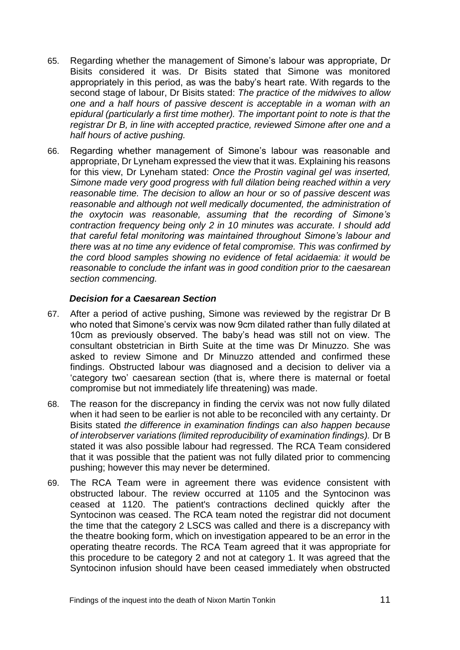- 65. Regarding whether the management of Simone's labour was appropriate, Dr Bisits considered it was. Dr Bisits stated that Simone was monitored appropriately in this period, as was the baby's heart rate. With regards to the second stage of labour, Dr Bisits stated: *The practice of the midwives to allow one and a half hours of passive descent is acceptable in a woman with an epidural (particularly a first time mother). The important point to note is that the registrar Dr B, in line with accepted practice, reviewed Simone after one and a half hours of active pushing.*
- 66. Regarding whether management of Simone's labour was reasonable and appropriate, Dr Lyneham expressed the view that it was. Explaining his reasons for this view, Dr Lyneham stated: *Once the Prostin vaginal gel was inserted, Simone made very good progress with full dilation being reached within a very reasonable time. The decision to allow an hour or so of passive descent was reasonable and although not well medically documented, the administration of the oxytocin was reasonable, assuming that the recording of Simone's contraction frequency being only 2 in 10 minutes was accurate. I should add that careful fetal monitoring was maintained throughout Simone's labour and there was at no time any evidence of fetal compromise. This was confirmed by the cord blood samples showing no evidence of fetal acidaemia: it would be reasonable to conclude the infant was in good condition prior to the caesarean section commencing.*

#### <span id="page-14-0"></span>*Decision for a Caesarean Section*

- 67. After a period of active pushing, Simone was reviewed by the registrar Dr B who noted that Simone's cervix was now 9cm dilated rather than fully dilated at 10cm as previously observed. The baby's head was still not on view. The consultant obstetrician in Birth Suite at the time was Dr Minuzzo. She was asked to review Simone and Dr Minuzzo attended and confirmed these findings. Obstructed labour was diagnosed and a decision to deliver via a 'category two' caesarean section (that is, where there is maternal or foetal compromise but not immediately life threatening) was made.
- 68. The reason for the discrepancy in finding the cervix was not now fully dilated when it had seen to be earlier is not able to be reconciled with any certainty. Dr Bisits stated *the difference in examination findings can also happen because of interobserver variations (limited reproducibility of examination findings).* Dr B stated it was also possible labour had regressed. The RCA Team considered that it was possible that the patient was not fully dilated prior to commencing pushing; however this may never be determined.
- 69. The RCA Team were in agreement there was evidence consistent with obstructed labour. The review occurred at 1105 and the Syntocinon was ceased at 1120. The patient's contractions declined quickly after the Syntocinon was ceased. The RCA team noted the registrar did not document the time that the category 2 LSCS was called and there is a discrepancy with the theatre booking form, which on investigation appeared to be an error in the operating theatre records. The RCA Team agreed that it was appropriate for this procedure to be category 2 and not at category 1. It was agreed that the Syntocinon infusion should have been ceased immediately when obstructed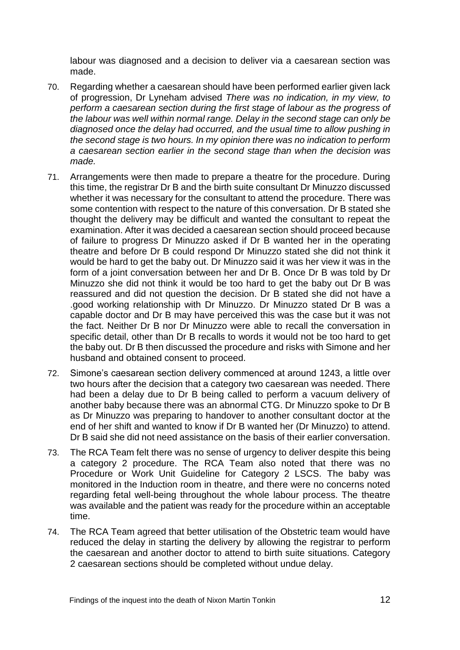labour was diagnosed and a decision to deliver via a caesarean section was made.

- 70. Regarding whether a caesarean should have been performed earlier given lack of progression, Dr Lyneham advised *There was no indication, in my view, to perform a caesarean section during the first stage of labour as the progress of the labour was well within normal range. Delay in the second stage can only be diagnosed once the delay had occurred, and the usual time to allow pushing in the second stage is two hours. In my opinion there was no indication to perform a caesarean section earlier in the second stage than when the decision was made.*
- 71. Arrangements were then made to prepare a theatre for the procedure. During this time, the registrar Dr B and the birth suite consultant Dr Minuzzo discussed whether it was necessary for the consultant to attend the procedure. There was some contention with respect to the nature of this conversation. Dr B stated she thought the delivery may be difficult and wanted the consultant to repeat the examination. After it was decided a caesarean section should proceed because of failure to progress Dr Minuzzo asked if Dr B wanted her in the operating theatre and before Dr B could respond Dr Minuzzo stated she did not think it would be hard to get the baby out. Dr Minuzzo said it was her view it was in the form of a joint conversation between her and Dr B. Once Dr B was told by Dr Minuzzo she did not think it would be too hard to get the baby out Dr B was reassured and did not question the decision. Dr B stated she did not have a .good working relationship with Dr Minuzzo. Dr Minuzzo stated Dr B was a capable doctor and Dr B may have perceived this was the case but it was not the fact. Neither Dr B nor Dr Minuzzo were able to recall the conversation in specific detail, other than Dr B recalls to words it would not be too hard to get the baby out. Dr B then discussed the procedure and risks with Simone and her husband and obtained consent to proceed.
- 72. Simone's caesarean section delivery commenced at around 1243, a little over two hours after the decision that a category two caesarean was needed. There had been a delay due to Dr B being called to perform a vacuum delivery of another baby because there was an abnormal CTG. Dr Minuzzo spoke to Dr B as Dr Minuzzo was preparing to handover to another consultant doctor at the end of her shift and wanted to know if Dr B wanted her (Dr Minuzzo) to attend. Dr B said she did not need assistance on the basis of their earlier conversation.
- 73. The RCA Team felt there was no sense of urgency to deliver despite this being a category 2 procedure. The RCA Team also noted that there was no Procedure or Work Unit Guideline for Category 2 LSCS. The baby was monitored in the Induction room in theatre, and there were no concerns noted regarding fetal well-being throughout the whole labour process. The theatre was available and the patient was ready for the procedure within an acceptable time.
- 74. The RCA Team agreed that better utilisation of the Obstetric team would have reduced the delay in starting the delivery by allowing the registrar to perform the caesarean and another doctor to attend to birth suite situations. Category 2 caesarean sections should be completed without undue delay.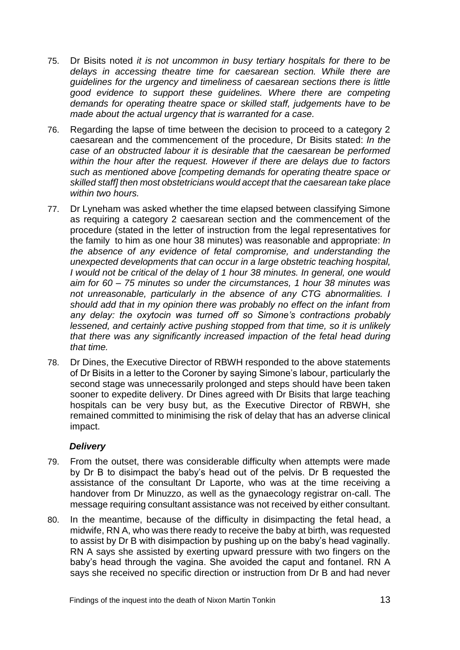- 75. Dr Bisits noted *it is not uncommon in busy tertiary hospitals for there to be delays in accessing theatre time for caesarean section. While there are guidelines for the urgency and timeliness of caesarean sections there is little good evidence to support these guidelines. Where there are competing demands for operating theatre space or skilled staff, judgements have to be made about the actual urgency that is warranted for a case.*
- 76. Regarding the lapse of time between the decision to proceed to a category 2 caesarean and the commencement of the procedure, Dr Bisits stated: *In the case of an obstructed labour it is desirable that the caesarean be performed within the hour after the request. However if there are delays due to factors such as mentioned above [competing demands for operating theatre space or skilled staff] then most obstetricians would accept that the caesarean take place within two hours.*
- 77. Dr Lyneham was asked whether the time elapsed between classifying Simone as requiring a category 2 caesarean section and the commencement of the procedure (stated in the letter of instruction from the legal representatives for the family to him as one hour 38 minutes) was reasonable and appropriate: *In the absence of any evidence of fetal compromise, and understanding the unexpected developments that can occur in a large obstetric teaching hospital, I would not be critical of the delay of 1 hour 38 minutes. In general, one would aim for 60 – 75 minutes so under the circumstances, 1 hour 38 minutes was not unreasonable, particularly in the absence of any CTG abnormalities. I should add that in my opinion there was probably no effect on the infant from any delay: the oxytocin was turned off so Simone's contractions probably lessened, and certainly active pushing stopped from that time, so it is unlikely that there was any significantly increased impaction of the fetal head during that time.*
- 78. Dr Dines, the Executive Director of RBWH responded to the above statements of Dr Bisits in a letter to the Coroner by saying Simone's labour, particularly the second stage was unnecessarily prolonged and steps should have been taken sooner to expedite delivery. Dr Dines agreed with Dr Bisits that large teaching hospitals can be very busy but, as the Executive Director of RBWH, she remained committed to minimising the risk of delay that has an adverse clinical impact.

#### <span id="page-16-0"></span>*Delivery*

- 79. From the outset, there was considerable difficulty when attempts were made by Dr B to disimpact the baby's head out of the pelvis. Dr B requested the assistance of the consultant Dr Laporte, who was at the time receiving a handover from Dr Minuzzo, as well as the gynaecology registrar on-call. The message requiring consultant assistance was not received by either consultant.
- 80. In the meantime, because of the difficulty in disimpacting the fetal head, a midwife, RN A, who was there ready to receive the baby at birth, was requested to assist by Dr B with disimpaction by pushing up on the baby's head vaginally. RN A says she assisted by exerting upward pressure with two fingers on the baby's head through the vagina. She avoided the caput and fontanel. RN A says she received no specific direction or instruction from Dr B and had never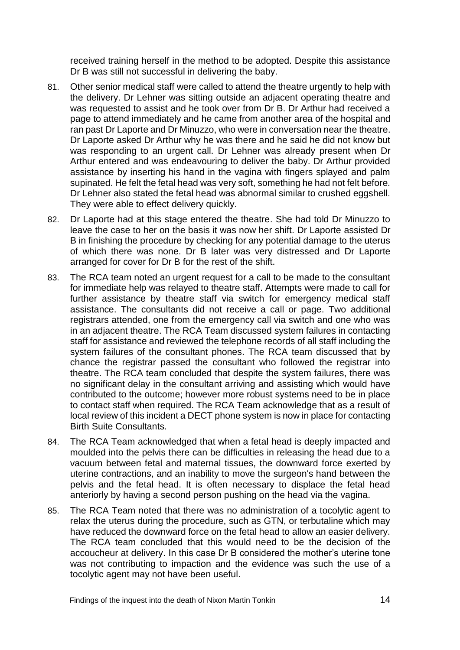received training herself in the method to be adopted. Despite this assistance Dr B was still not successful in delivering the baby.

- 81. Other senior medical staff were called to attend the theatre urgently to help with the delivery. Dr Lehner was sitting outside an adjacent operating theatre and was requested to assist and he took over from Dr B. Dr Arthur had received a page to attend immediately and he came from another area of the hospital and ran past Dr Laporte and Dr Minuzzo, who were in conversation near the theatre. Dr Laporte asked Dr Arthur why he was there and he said he did not know but was responding to an urgent call. Dr Lehner was already present when Dr Arthur entered and was endeavouring to deliver the baby. Dr Arthur provided assistance by inserting his hand in the vagina with fingers splayed and palm supinated. He felt the fetal head was very soft, something he had not felt before. Dr Lehner also stated the fetal head was abnormal similar to crushed eggshell. They were able to effect delivery quickly.
- 82. Dr Laporte had at this stage entered the theatre. She had told Dr Minuzzo to leave the case to her on the basis it was now her shift. Dr Laporte assisted Dr B in finishing the procedure by checking for any potential damage to the uterus of which there was none. Dr B later was very distressed and Dr Laporte arranged for cover for Dr B for the rest of the shift.
- 83. The RCA team noted an urgent request for a call to be made to the consultant for immediate help was relayed to theatre staff. Attempts were made to call for further assistance by theatre staff via switch for emergency medical staff assistance. The consultants did not receive a call or page. Two additional registrars attended, one from the emergency call via switch and one who was in an adjacent theatre. The RCA Team discussed system failures in contacting staff for assistance and reviewed the telephone records of all staff including the system failures of the consultant phones. The RCA team discussed that by chance the registrar passed the consultant who followed the registrar into theatre. The RCA team concluded that despite the system failures, there was no significant delay in the consultant arriving and assisting which would have contributed to the outcome; however more robust systems need to be in place to contact staff when required. The RCA Team acknowledge that as a result of local review of this incident a DECT phone system is now in place for contacting Birth Suite Consultants.
- 84. The RCA Team acknowledged that when a fetal head is deeply impacted and moulded into the pelvis there can be difficulties in releasing the head due to a vacuum between fetal and maternal tissues, the downward force exerted by uterine contractions, and an inability to move the surgeon's hand between the pelvis and the fetal head. It is often necessary to displace the fetal head anteriorly by having a second person pushing on the head via the vagina.
- 85. The RCA Team noted that there was no administration of a tocolytic agent to relax the uterus during the procedure, such as GTN, or terbutaline which may have reduced the downward force on the fetal head to allow an easier delivery. The RCA team concluded that this would need to be the decision of the accoucheur at delivery. In this case Dr B considered the mother's uterine tone was not contributing to impaction and the evidence was such the use of a tocolytic agent may not have been useful.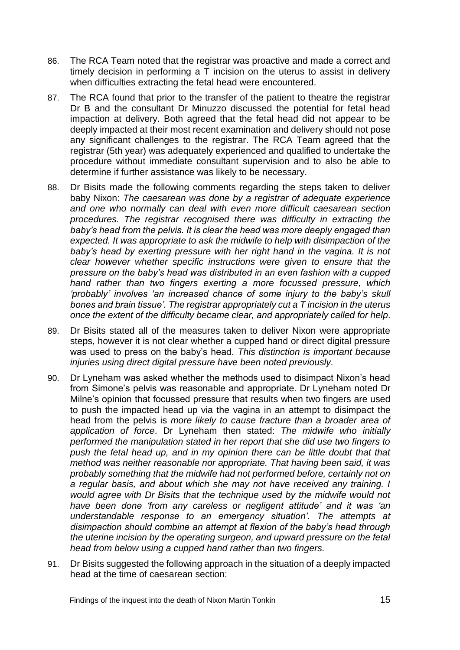- 86. The RCA Team noted that the registrar was proactive and made a correct and timely decision in performing a T incision on the uterus to assist in delivery when difficulties extracting the fetal head were encountered.
- 87. The RCA found that prior to the transfer of the patient to theatre the registrar Dr B and the consultant Dr Minuzzo discussed the potential for fetal head impaction at delivery. Both agreed that the fetal head did not appear to be deeply impacted at their most recent examination and delivery should not pose any significant challenges to the registrar. The RCA Team agreed that the registrar (5th year) was adequately experienced and qualified to undertake the procedure without immediate consultant supervision and to also be able to determine if further assistance was likely to be necessary.
- 88. Dr Bisits made the following comments regarding the steps taken to deliver baby Nixon: *The caesarean was done by a registrar of adequate experience and one who normally can deal with even more difficult caesarean section procedures. The registrar recognised there was difficulty in extracting the baby's head from the pelvis. It is clear the head was more deeply engaged than expected. It was appropriate to ask the midwife to help with disimpaction of the*  baby's head by exerting pressure with her right hand in the vagina. It is not *clear however whether specific instructions were given to ensure that the pressure on the baby's head was distributed in an even fashion with a cupped hand rather than two fingers exerting a more focussed pressure, which 'probably' involves 'an increased chance of some injury to the baby's skull bones and brain tissue'. The registrar appropriately cut a T incision in the uterus once the extent of the difficulty became clear, and appropriately called for help*.
- 89. Dr Bisits stated all of the measures taken to deliver Nixon were appropriate steps, however it is not clear whether a cupped hand or direct digital pressure was used to press on the baby's head. *This distinction is important because injuries using direct digital pressure have been noted previously.*
- 90. Dr Lyneham was asked whether the methods used to disimpact Nixon's head from Simone's pelvis was reasonable and appropriate. Dr Lyneham noted Dr Milne's opinion that focussed pressure that results when two fingers are used to push the impacted head up via the vagina in an attempt to disimpact the head from the pelvis is *more likely to cause fracture than a broader area of application of force*. Dr Lyneham then stated: *The midwife who initially performed the manipulation stated in her report that she did use two fingers to*  push the fetal head up, and in my opinion there can be little doubt that that *method was neither reasonable nor appropriate. That having been said, it was probably something that the midwife had not performed before, certainly not on a regular basis, and about which she may not have received any training. I would agree with Dr Bisits that the technique used by the midwife would not have been done 'from any careless or negligent attitude' and it was 'an understandable response to an emergency situation'. The attempts at disimpaction should combine an attempt at flexion of the baby's head through the uterine incision by the operating surgeon, and upward pressure on the fetal head from below using a cupped hand rather than two fingers.*
- 91. Dr Bisits suggested the following approach in the situation of a deeply impacted head at the time of caesarean section: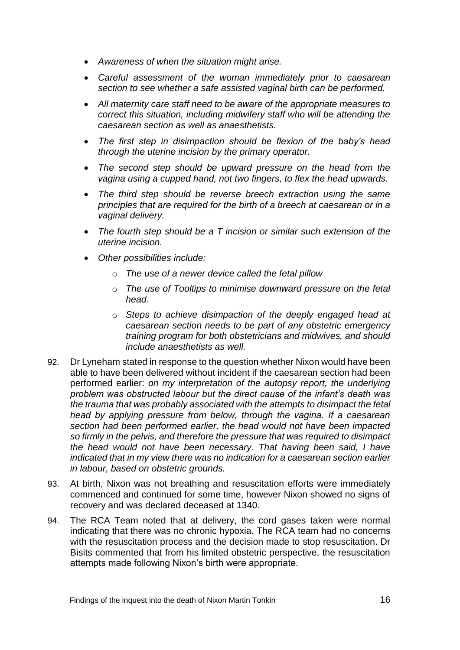- *Awareness of when the situation might arise.*
- *Careful assessment of the woman immediately prior to caesarean section to see whether a safe assisted vaginal birth can be performed.*
- *All maternity care staff need to be aware of the appropriate measures to correct this situation, including midwifery staff who will be attending the caesarean section as well as anaesthetists.*
- *The first step in disimpaction should be flexion of the baby's head through the uterine incision by the primary operator.*
- *The second step should be upward pressure on the head from the vagina using a cupped hand, not two fingers, to flex the head upwards.*
- *The third step should be reverse breech extraction using the same principles that are required for the birth of a breech at caesarean or in a vaginal delivery.*
- *The fourth step should be a T incision or similar such extension of the uterine incision.*
- *Other possibilities include:*
	- o *The use of a newer device called the fetal pillow*
	- o *The use of Tooltips to minimise downward pressure on the fetal head.*
	- o *Steps to achieve disimpaction of the deeply engaged head at caesarean section needs to be part of any obstetric emergency training program for both obstetricians and midwives, and should include anaesthetists as well.*
- 92. Dr Lyneham stated in response to the question whether Nixon would have been able to have been delivered without incident if the caesarean section had been performed earlier: *on my interpretation of the autopsy report, the underlying problem was obstructed labour but the direct cause of the infant's death was the trauma that was probably associated with the attempts to disimpact the fetal head by applying pressure from below, through the vagina. If a caesarean section had been performed earlier, the head would not have been impacted so firmly in the pelvis, and therefore the pressure that was required to disimpact the head would not have been necessary. That having been said, I have indicated that in my view there was no indication for a caesarean section earlier in labour, based on obstetric grounds.*
- 93. At birth, Nixon was not breathing and resuscitation efforts were immediately commenced and continued for some time, however Nixon showed no signs of recovery and was declared deceased at 1340.
- 94. The RCA Team noted that at delivery, the cord gases taken were normal indicating that there was no chronic hypoxia. The RCA team had no concerns with the resuscitation process and the decision made to stop resuscitation. Dr Bisits commented that from his limited obstetric perspective, the resuscitation attempts made following Nixon's birth were appropriate.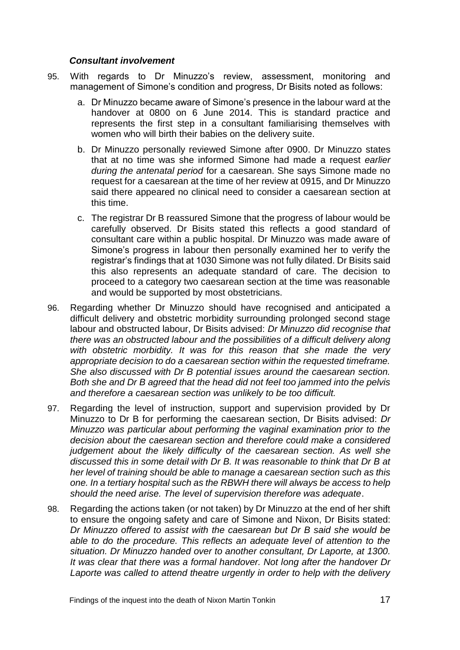#### <span id="page-20-0"></span>*Consultant involvement*

- 95. With regards to Dr Minuzzo's review, assessment, monitoring and management of Simone's condition and progress, Dr Bisits noted as follows:
	- a. Dr Minuzzo became aware of Simone's presence in the labour ward at the handover at 0800 on 6 June 2014. This is standard practice and represents the first step in a consultant familiarising themselves with women who will birth their babies on the delivery suite.
	- b. Dr Minuzzo personally reviewed Simone after 0900. Dr Minuzzo states that at no time was she informed Simone had made a request *earlier during the antenatal period* for a caesarean. She says Simone made no request for a caesarean at the time of her review at 0915, and Dr Minuzzo said there appeared no clinical need to consider a caesarean section at this time.
	- c. The registrar Dr B reassured Simone that the progress of labour would be carefully observed. Dr Bisits stated this reflects a good standard of consultant care within a public hospital. Dr Minuzzo was made aware of Simone's progress in labour then personally examined her to verify the registrar's findings that at 1030 Simone was not fully dilated. Dr Bisits said this also represents an adequate standard of care. The decision to proceed to a category two caesarean section at the time was reasonable and would be supported by most obstetricians.
- 96. Regarding whether Dr Minuzzo should have recognised and anticipated a difficult delivery and obstetric morbidity surrounding prolonged second stage labour and obstructed labour, Dr Bisits advised: *Dr Minuzzo did recognise that there was an obstructed labour and the possibilities of a difficult delivery along with obstetric morbidity. It was for this reason that she made the very appropriate decision to do a caesarean section within the requested timeframe. She also discussed with Dr B potential issues around the caesarean section. Both she and Dr B agreed that the head did not feel too jammed into the pelvis and therefore a caesarean section was unlikely to be too difficult.*
- 97. Regarding the level of instruction, support and supervision provided by Dr Minuzzo to Dr B for performing the caesarean section, Dr Bisits advised: *Dr Minuzzo was particular about performing the vaginal examination prior to the decision about the caesarean section and therefore could make a considered judgement about the likely difficulty of the caesarean section. As well she discussed this in some detail with Dr B. It was reasonable to think that Dr B at her level of training should be able to manage a caesarean section such as this one. In a tertiary hospital such as the RBWH there will always be access to help should the need arise. The level of supervision therefore was adequate*.
- 98. Regarding the actions taken (or not taken) by Dr Minuzzo at the end of her shift to ensure the ongoing safety and care of Simone and Nixon, Dr Bisits stated: *Dr Minuzzo offered to assist with the caesarean but Dr B said she would be able to do the procedure. This reflects an adequate level of attention to the situation. Dr Minuzzo handed over to another consultant, Dr Laporte, at 1300. It was clear that there was a formal handover. Not long after the handover Dr Laporte was called to attend theatre urgently in order to help with the delivery*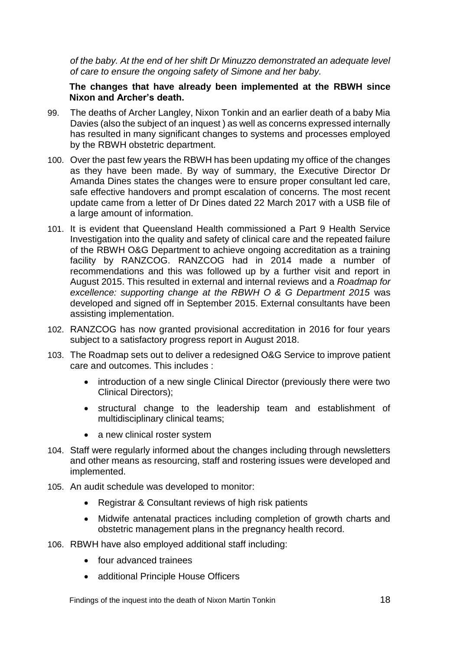*of the baby. At the end of her shift Dr Minuzzo demonstrated an adequate level of care to ensure the ongoing safety of Simone and her baby.*

#### <span id="page-21-0"></span>**The changes that have already been implemented at the RBWH since Nixon and Archer's death.**

- 99. The deaths of Archer Langley, Nixon Tonkin and an earlier death of a baby Mia Davies (also the subject of an inquest ) as well as concerns expressed internally has resulted in many significant changes to systems and processes employed by the RBWH obstetric department.
- 100. Over the past few years the RBWH has been updating my office of the changes as they have been made. By way of summary, the Executive Director Dr Amanda Dines states the changes were to ensure proper consultant led care, safe effective handovers and prompt escalation of concerns. The most recent update came from a letter of Dr Dines dated 22 March 2017 with a USB file of a large amount of information.
- 101. It is evident that Queensland Health commissioned a Part 9 Health Service Investigation into the quality and safety of clinical care and the repeated failure of the RBWH O&G Department to achieve ongoing accreditation as a training facility by RANZCOG. RANZCOG had in 2014 made a number of recommendations and this was followed up by a further visit and report in August 2015. This resulted in external and internal reviews and a *Roadmap for excellence: supporting change at the RBWH O & G Department 2015* was developed and signed off in September 2015. External consultants have been assisting implementation.
- 102. RANZCOG has now granted provisional accreditation in 2016 for four years subject to a satisfactory progress report in August 2018.
- 103. The Roadmap sets out to deliver a redesigned O&G Service to improve patient care and outcomes. This includes :
	- introduction of a new single Clinical Director (previously there were two Clinical Directors);
	- structural change to the leadership team and establishment of multidisciplinary clinical teams;
	- a new clinical roster system
- 104. Staff were regularly informed about the changes including through newsletters and other means as resourcing, staff and rostering issues were developed and implemented.
- 105. An audit schedule was developed to monitor:
	- Registrar & Consultant reviews of high risk patients
	- Midwife antenatal practices including completion of growth charts and obstetric management plans in the pregnancy health record.
- 106. RBWH have also employed additional staff including:
	- four advanced trainees
	- additional Principle House Officers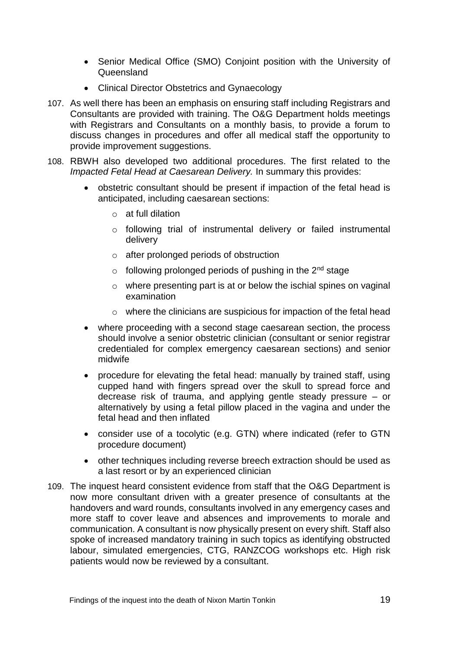- Senior Medical Office (SMO) Conjoint position with the University of Queensland
- Clinical Director Obstetrics and Gynaecology
- 107. As well there has been an emphasis on ensuring staff including Registrars and Consultants are provided with training. The O&G Department holds meetings with Registrars and Consultants on a monthly basis, to provide a forum to discuss changes in procedures and offer all medical staff the opportunity to provide improvement suggestions.
- 108. RBWH also developed two additional procedures. The first related to the *Impacted Fetal Head at Caesarean Delivery.* In summary this provides:
	- obstetric consultant should be present if impaction of the fetal head is anticipated, including caesarean sections:
		- o at full dilation
		- $\circ$  following trial of instrumental delivery or failed instrumental delivery
		- o after prolonged periods of obstruction
		- $\circ$  following prolonged periods of pushing in the 2<sup>nd</sup> stage
		- $\circ$  where presenting part is at or below the ischial spines on vaginal examination
		- $\circ$  where the clinicians are suspicious for impaction of the fetal head
	- where proceeding with a second stage caesarean section, the process should involve a senior obstetric clinician (consultant or senior registrar credentialed for complex emergency caesarean sections) and senior midwife
	- procedure for elevating the fetal head: manually by trained staff, using cupped hand with fingers spread over the skull to spread force and decrease risk of trauma, and applying gentle steady pressure – or alternatively by using a fetal pillow placed in the vagina and under the fetal head and then inflated
	- consider use of a tocolytic (e.g. GTN) where indicated (refer to GTN procedure document)
	- other techniques including reverse breech extraction should be used as a last resort or by an experienced clinician
- 109. The inquest heard consistent evidence from staff that the O&G Department is now more consultant driven with a greater presence of consultants at the handovers and ward rounds, consultants involved in any emergency cases and more staff to cover leave and absences and improvements to morale and communication. A consultant is now physically present on every shift. Staff also spoke of increased mandatory training in such topics as identifying obstructed labour, simulated emergencies, CTG, RANZCOG workshops etc. High risk patients would now be reviewed by a consultant.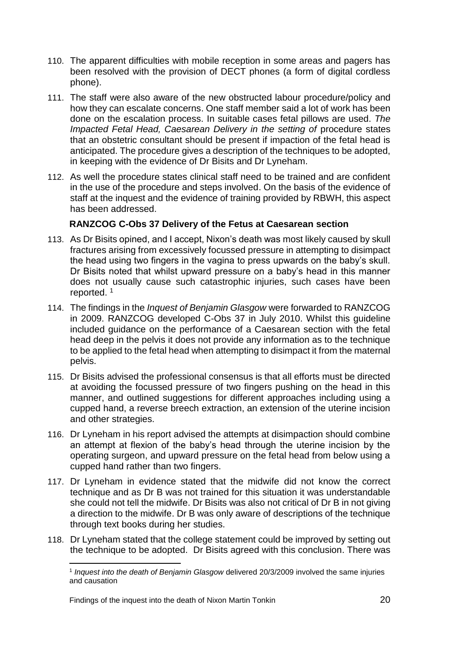- 110. The apparent difficulties with mobile reception in some areas and pagers has been resolved with the provision of DECT phones (a form of digital cordless phone).
- 111. The staff were also aware of the new obstructed labour procedure/policy and how they can escalate concerns. One staff member said a lot of work has been done on the escalation process. In suitable cases fetal pillows are used. *The Impacted Fetal Head, Caesarean Delivery in the setting of procedure states* that an obstetric consultant should be present if impaction of the fetal head is anticipated. The procedure gives a description of the techniques to be adopted, in keeping with the evidence of Dr Bisits and Dr Lyneham.
- 112. As well the procedure states clinical staff need to be trained and are confident in the use of the procedure and steps involved. On the basis of the evidence of staff at the inquest and the evidence of training provided by RBWH, this aspect has been addressed.

#### <span id="page-23-0"></span>**RANZCOG C-Obs 37 Delivery of the Fetus at Caesarean section**

- 113. As Dr Bisits opined, and I accept, Nixon's death was most likely caused by skull fractures arising from excessively focussed pressure in attempting to disimpact the head using two fingers in the vagina to press upwards on the baby's skull. Dr Bisits noted that whilst upward pressure on a baby's head in this manner does not usually cause such catastrophic injuries, such cases have been reported. <sup>1</sup>
- 114. The findings in the *Inquest of Benjamin Glasgow* were forwarded to RANZCOG in 2009. RANZCOG developed C-Obs 37 in July 2010. Whilst this guideline included guidance on the performance of a Caesarean section with the fetal head deep in the pelvis it does not provide any information as to the technique to be applied to the fetal head when attempting to disimpact it from the maternal pelvis.
- 115. Dr Bisits advised the professional consensus is that all efforts must be directed at avoiding the focussed pressure of two fingers pushing on the head in this manner, and outlined suggestions for different approaches including using a cupped hand, a reverse breech extraction, an extension of the uterine incision and other strategies.
- 116. Dr Lyneham in his report advised the attempts at disimpaction should combine an attempt at flexion of the baby's head through the uterine incision by the operating surgeon, and upward pressure on the fetal head from below using a cupped hand rather than two fingers.
- 117. Dr Lyneham in evidence stated that the midwife did not know the correct technique and as Dr B was not trained for this situation it was understandable she could not tell the midwife. Dr Bisits was also not critical of Dr B in not giving a direction to the midwife. Dr B was only aware of descriptions of the technique through text books during her studies.
- 118. Dr Lyneham stated that the college statement could be improved by setting out the technique to be adopted. Dr Bisits agreed with this conclusion. There was

l

<sup>1</sup> *Inquest into the death of Benjamin Glasgow* delivered 20/3/2009 involved the same injuries and causation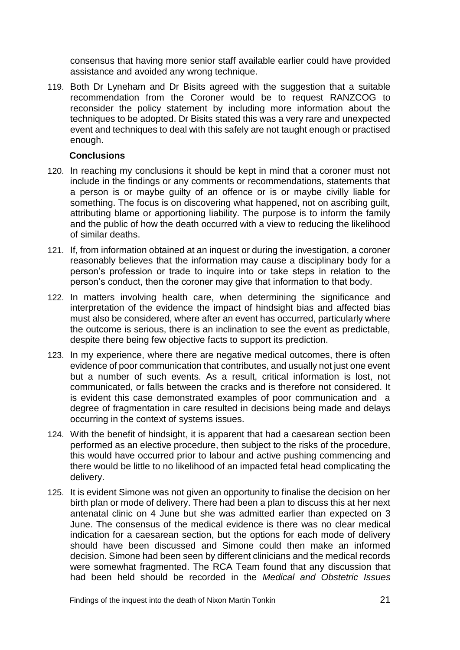consensus that having more senior staff available earlier could have provided assistance and avoided any wrong technique.

119. Both Dr Lyneham and Dr Bisits agreed with the suggestion that a suitable recommendation from the Coroner would be to request RANZCOG to reconsider the policy statement by including more information about the techniques to be adopted. Dr Bisits stated this was a very rare and unexpected event and techniques to deal with this safely are not taught enough or practised enough.

#### <span id="page-24-0"></span>**Conclusions**

- 120. In reaching my conclusions it should be kept in mind that a coroner must not include in the findings or any comments or recommendations, statements that a person is or maybe guilty of an offence or is or maybe civilly liable for something. The focus is on discovering what happened, not on ascribing guilt, attributing blame or apportioning liability. The purpose is to inform the family and the public of how the death occurred with a view to reducing the likelihood of similar deaths.
- 121. If, from information obtained at an inquest or during the investigation, a coroner reasonably believes that the information may cause a disciplinary body for a person's profession or trade to inquire into or take steps in relation to the person's conduct, then the coroner may give that information to that body.
- 122. In matters involving health care, when determining the significance and interpretation of the evidence the impact of hindsight bias and affected bias must also be considered, where after an event has occurred, particularly where the outcome is serious, there is an inclination to see the event as predictable, despite there being few objective facts to support its prediction.
- 123. In my experience, where there are negative medical outcomes, there is often evidence of poor communication that contributes, and usually not just one event but a number of such events. As a result, critical information is lost, not communicated, or falls between the cracks and is therefore not considered. It is evident this case demonstrated examples of poor communication and a degree of fragmentation in care resulted in decisions being made and delays occurring in the context of systems issues.
- 124. With the benefit of hindsight, it is apparent that had a caesarean section been performed as an elective procedure, then subject to the risks of the procedure, this would have occurred prior to labour and active pushing commencing and there would be little to no likelihood of an impacted fetal head complicating the delivery.
- 125. It is evident Simone was not given an opportunity to finalise the decision on her birth plan or mode of delivery. There had been a plan to discuss this at her next antenatal clinic on 4 June but she was admitted earlier than expected on 3 June. The consensus of the medical evidence is there was no clear medical indication for a caesarean section, but the options for each mode of delivery should have been discussed and Simone could then make an informed decision. Simone had been seen by different clinicians and the medical records were somewhat fragmented. The RCA Team found that any discussion that had been held should be recorded in the *Medical and Obstetric Issues*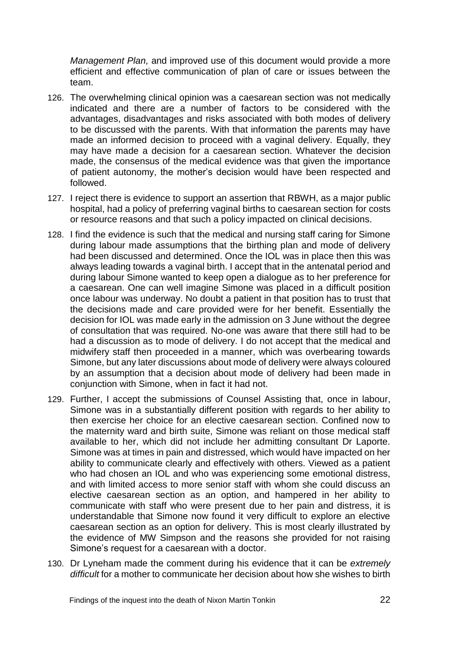*Management Plan,* and improved use of this document would provide a more efficient and effective communication of plan of care or issues between the team.

- 126. The overwhelming clinical opinion was a caesarean section was not medically indicated and there are a number of factors to be considered with the advantages, disadvantages and risks associated with both modes of delivery to be discussed with the parents. With that information the parents may have made an informed decision to proceed with a vaginal delivery. Equally, they may have made a decision for a caesarean section. Whatever the decision made, the consensus of the medical evidence was that given the importance of patient autonomy, the mother's decision would have been respected and followed.
- 127. I reject there is evidence to support an assertion that RBWH, as a major public hospital, had a policy of preferring vaginal births to caesarean section for costs or resource reasons and that such a policy impacted on clinical decisions.
- 128. I find the evidence is such that the medical and nursing staff caring for Simone during labour made assumptions that the birthing plan and mode of delivery had been discussed and determined. Once the IOL was in place then this was always leading towards a vaginal birth. I accept that in the antenatal period and during labour Simone wanted to keep open a dialogue as to her preference for a caesarean. One can well imagine Simone was placed in a difficult position once labour was underway. No doubt a patient in that position has to trust that the decisions made and care provided were for her benefit. Essentially the decision for IOL was made early in the admission on 3 June without the degree of consultation that was required. No-one was aware that there still had to be had a discussion as to mode of delivery. I do not accept that the medical and midwifery staff then proceeded in a manner, which was overbearing towards Simone, but any later discussions about mode of delivery were always coloured by an assumption that a decision about mode of delivery had been made in conjunction with Simone, when in fact it had not.
- 129. Further, I accept the submissions of Counsel Assisting that, once in labour, Simone was in a substantially different position with regards to her ability to then exercise her choice for an elective caesarean section. Confined now to the maternity ward and birth suite, Simone was reliant on those medical staff available to her, which did not include her admitting consultant Dr Laporte. Simone was at times in pain and distressed, which would have impacted on her ability to communicate clearly and effectively with others. Viewed as a patient who had chosen an IOL and who was experiencing some emotional distress, and with limited access to more senior staff with whom she could discuss an elective caesarean section as an option, and hampered in her ability to communicate with staff who were present due to her pain and distress, it is understandable that Simone now found it very difficult to explore an elective caesarean section as an option for delivery. This is most clearly illustrated by the evidence of MW Simpson and the reasons she provided for not raising Simone's request for a caesarean with a doctor.
- 130. Dr Lyneham made the comment during his evidence that it can be *extremely difficult* for a mother to communicate her decision about how she wishes to birth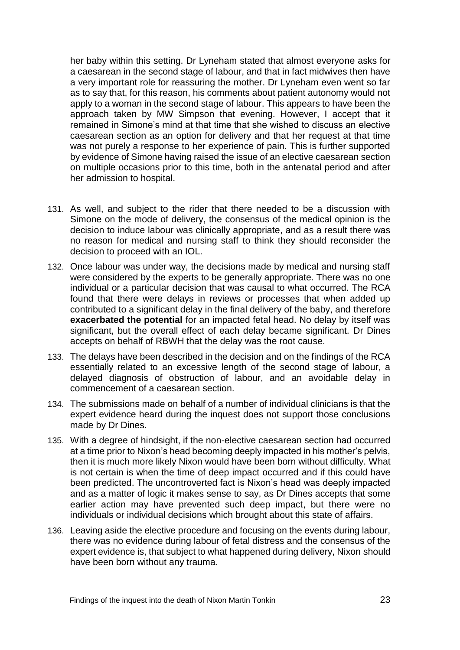her baby within this setting. Dr Lyneham stated that almost everyone asks for a caesarean in the second stage of labour, and that in fact midwives then have a very important role for reassuring the mother. Dr Lyneham even went so far as to say that, for this reason, his comments about patient autonomy would not apply to a woman in the second stage of labour. This appears to have been the approach taken by MW Simpson that evening. However, I accept that it remained in Simone's mind at that time that she wished to discuss an elective caesarean section as an option for delivery and that her request at that time was not purely a response to her experience of pain. This is further supported by evidence of Simone having raised the issue of an elective caesarean section on multiple occasions prior to this time, both in the antenatal period and after her admission to hospital.

- 131. As well, and subject to the rider that there needed to be a discussion with Simone on the mode of delivery, the consensus of the medical opinion is the decision to induce labour was clinically appropriate, and as a result there was no reason for medical and nursing staff to think they should reconsider the decision to proceed with an IOL.
- 132. Once labour was under way, the decisions made by medical and nursing staff were considered by the experts to be generally appropriate. There was no one individual or a particular decision that was causal to what occurred. The RCA found that there were delays in reviews or processes that when added up contributed to a significant delay in the final delivery of the baby, and therefore **exacerbated the potential** for an impacted fetal head. No delay by itself was significant, but the overall effect of each delay became significant. Dr Dines accepts on behalf of RBWH that the delay was the root cause.
- 133. The delays have been described in the decision and on the findings of the RCA essentially related to an excessive length of the second stage of labour, a delayed diagnosis of obstruction of labour, and an avoidable delay in commencement of a caesarean section.
- 134. The submissions made on behalf of a number of individual clinicians is that the expert evidence heard during the inquest does not support those conclusions made by Dr Dines.
- 135. With a degree of hindsight, if the non-elective caesarean section had occurred at a time prior to Nixon's head becoming deeply impacted in his mother's pelvis, then it is much more likely Nixon would have been born without difficulty. What is not certain is when the time of deep impact occurred and if this could have been predicted. The uncontroverted fact is Nixon's head was deeply impacted and as a matter of logic it makes sense to say, as Dr Dines accepts that some earlier action may have prevented such deep impact, but there were no individuals or individual decisions which brought about this state of affairs.
- 136. Leaving aside the elective procedure and focusing on the events during labour, there was no evidence during labour of fetal distress and the consensus of the expert evidence is, that subject to what happened during delivery, Nixon should have been born without any trauma.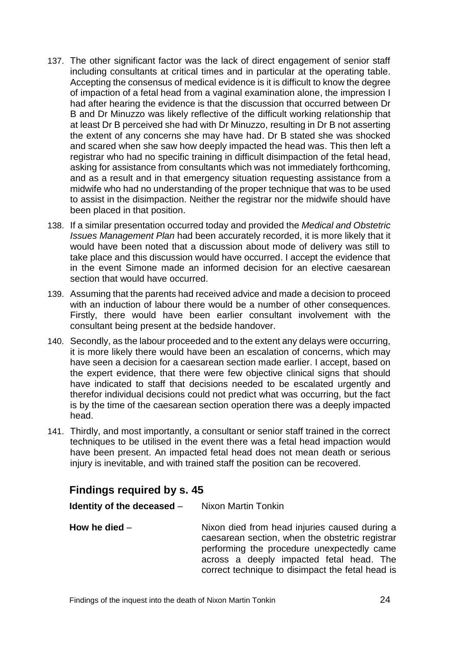- 137. The other significant factor was the lack of direct engagement of senior staff including consultants at critical times and in particular at the operating table. Accepting the consensus of medical evidence is it is difficult to know the degree of impaction of a fetal head from a vaginal examination alone, the impression I had after hearing the evidence is that the discussion that occurred between Dr B and Dr Minuzzo was likely reflective of the difficult working relationship that at least Dr B perceived she had with Dr Minuzzo, resulting in Dr B not asserting the extent of any concerns she may have had. Dr B stated she was shocked and scared when she saw how deeply impacted the head was. This then left a registrar who had no specific training in difficult disimpaction of the fetal head, asking for assistance from consultants which was not immediately forthcoming, and as a result and in that emergency situation requesting assistance from a midwife who had no understanding of the proper technique that was to be used to assist in the disimpaction. Neither the registrar nor the midwife should have been placed in that position.
- 138. If a similar presentation occurred today and provided the *Medical and Obstetric Issues Management Plan* had been accurately recorded, it is more likely that it would have been noted that a discussion about mode of delivery was still to take place and this discussion would have occurred. I accept the evidence that in the event Simone made an informed decision for an elective caesarean section that would have occurred.
- 139. Assuming that the parents had received advice and made a decision to proceed with an induction of labour there would be a number of other consequences. Firstly, there would have been earlier consultant involvement with the consultant being present at the bedside handover.
- 140. Secondly, as the labour proceeded and to the extent any delays were occurring, it is more likely there would have been an escalation of concerns, which may have seen a decision for a caesarean section made earlier. I accept, based on the expert evidence, that there were few objective clinical signs that should have indicated to staff that decisions needed to be escalated urgently and therefor individual decisions could not predict what was occurring, but the fact is by the time of the caesarean section operation there was a deeply impacted head.
- 141. Thirdly, and most importantly, a consultant or senior staff trained in the correct techniques to be utilised in the event there was a fetal head impaction would have been present. An impacted fetal head does not mean death or serious injury is inevitable, and with trained staff the position can be recovered.

### <span id="page-27-0"></span>**Findings required by s. 45**

<span id="page-27-2"></span><span id="page-27-1"></span>

| Identity of the deceased - | Nixon Martin Tonkin                                                                                                                                                                                                                            |
|----------------------------|------------------------------------------------------------------------------------------------------------------------------------------------------------------------------------------------------------------------------------------------|
| How he died $-$            | Nixon died from head injuries caused during a<br>caesarean section, when the obstetric registrar<br>performing the procedure unexpectedly came<br>across a deeply impacted fetal head. The<br>correct technique to disimpact the fetal head is |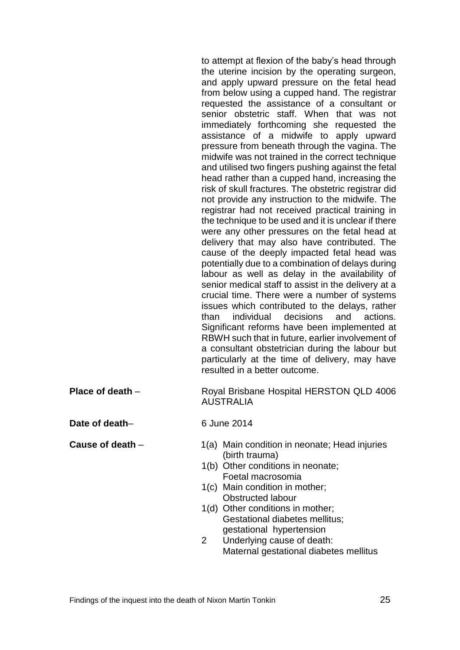to attempt at flexion of the baby's head through the uterine incision by the operating surgeon, and apply upward pressure on the fetal head from below using a cupped hand. The registrar requested the assistance of a consultant or senior obstetric staff. When that was not immediately forthcoming she requested the assistance of a midwife to apply upward pressure from beneath through the vagina. The midwife was not trained in the correct technique and utilised two fingers pushing against the fetal head rather than a cupped hand, increasing the risk of skull fractures. The obstetric registrar did not provide any instruction to the midwife. The registrar had not received practical training in the technique to be used and it is unclear if there were any other pressures on the fetal head at delivery that may also have contributed. The cause of the deeply impacted fetal head was potentially due to a combination of delays during labour as well as delay in the availability of senior medical staff to assist in the delivery at a crucial time. There were a number of systems issues which contributed to the delays, rather than individual decisions and actions. Significant reforms have been implemented at RBWH such that in future, earlier involvement of a consultant obstetrician during the labour but particularly at the time of delivery, may have resulted in a better outcome.

<span id="page-28-0"></span>**Place of death** – Royal Brisbane Hospital HERSTON QLD 4006 AUSTRALIA

<span id="page-28-1"></span>**Date of death–** 6 June 2014

- <span id="page-28-2"></span>**Cause of death** – 1(a) Main condition in neonate; Head injuries (birth trauma)
	- 1(b) Other conditions in neonate; Foetal macrosomia
	- 1(c) Main condition in mother; Obstructed labour
	- 1(d) Other conditions in mother; Gestational diabetes mellitus; gestational hypertension
	- 2 Underlying cause of death: Maternal gestational diabetes mellitus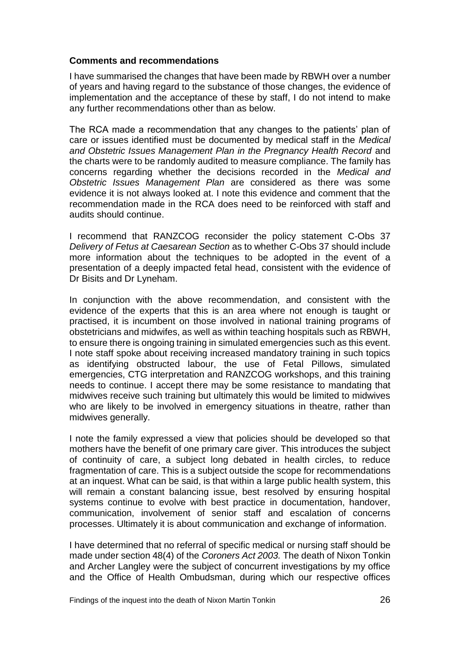#### <span id="page-29-0"></span>**Comments and recommendations**

I have summarised the changes that have been made by RBWH over a number of years and having regard to the substance of those changes, the evidence of implementation and the acceptance of these by staff, I do not intend to make any further recommendations other than as below.

The RCA made a recommendation that any changes to the patients' plan of care or issues identified must be documented by medical staff in the *Medical and Obstetric Issues Management Plan in the Pregnancy Health Record* and the charts were to be randomly audited to measure compliance. The family has concerns regarding whether the decisions recorded in the *Medical and Obstetric Issues Management Plan* are considered as there was some evidence it is not always looked at. I note this evidence and comment that the recommendation made in the RCA does need to be reinforced with staff and audits should continue.

I recommend that RANZCOG reconsider the policy statement C-Obs 37 *Delivery of Fetus at Caesarean Section* as to whether C-Obs 37 should include more information about the techniques to be adopted in the event of a presentation of a deeply impacted fetal head, consistent with the evidence of Dr Bisits and Dr Lyneham.

In conjunction with the above recommendation, and consistent with the evidence of the experts that this is an area where not enough is taught or practised, it is incumbent on those involved in national training programs of obstetricians and midwifes, as well as within teaching hospitals such as RBWH, to ensure there is ongoing training in simulated emergencies such as this event. I note staff spoke about receiving increased mandatory training in such topics as identifying obstructed labour, the use of Fetal Pillows, simulated emergencies, CTG interpretation and RANZCOG workshops, and this training needs to continue. I accept there may be some resistance to mandating that midwives receive such training but ultimately this would be limited to midwives who are likely to be involved in emergency situations in theatre, rather than midwives generally.

I note the family expressed a view that policies should be developed so that mothers have the benefit of one primary care giver. This introduces the subject of continuity of care, a subject long debated in health circles, to reduce fragmentation of care. This is a subject outside the scope for recommendations at an inquest. What can be said, is that within a large public health system, this will remain a constant balancing issue, best resolved by ensuring hospital systems continue to evolve with best practice in documentation, handover, communication, involvement of senior staff and escalation of concerns processes. Ultimately it is about communication and exchange of information.

I have determined that no referral of specific medical or nursing staff should be made under section 48(4) of the *Coroners Act 2003.* The death of Nixon Tonkin and Archer Langley were the subject of concurrent investigations by my office and the Office of Health Ombudsman, during which our respective offices